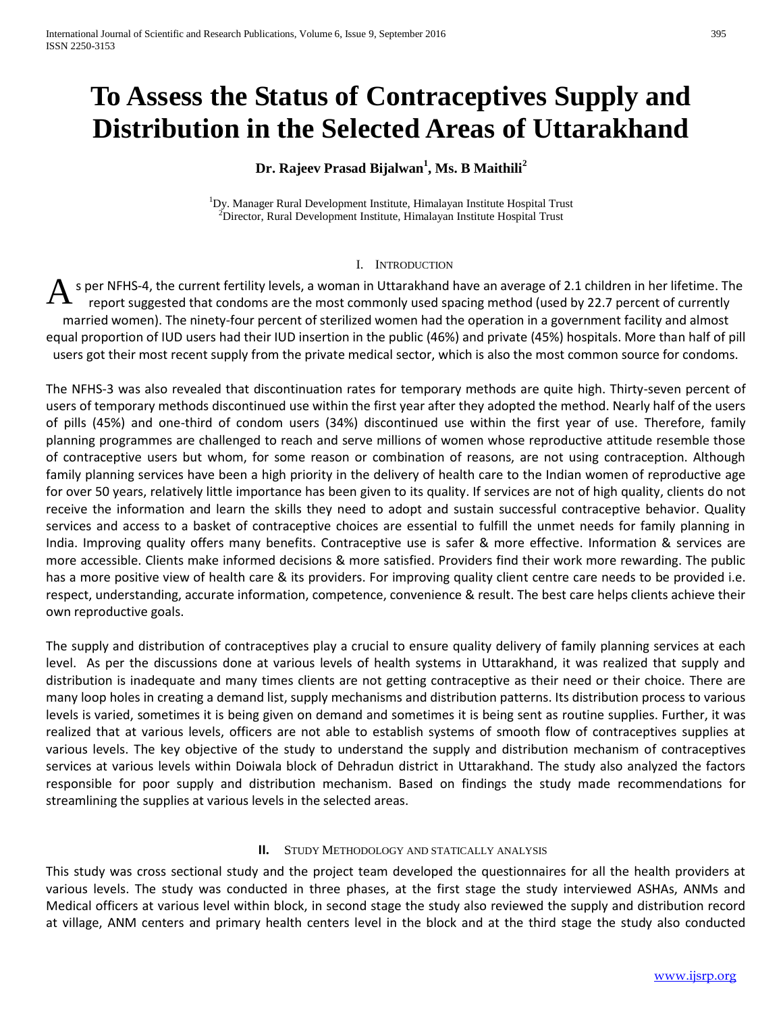# **To Assess the Status of Contraceptives Supply and Distribution in the Selected Areas of Uttarakhand**

# **Dr. Rajeev Prasad Bijalwan<sup>1</sup> , Ms. B Maithili<sup>2</sup>**

<sup>1</sup>Dy. Manager Rural Development Institute, Himalayan Institute Hospital Trust  $2$ Director, Rural Development Institute, Himalayan Institute Hospital Trust

#### I. INTRODUCTION

s per NFHS-4, the current fertility levels, a woman in Uttarakhand have an average of 2.1 children in her lifetime. The report suggested that condoms are the most commonly used spacing method (used by 22.7 percent of currently married women). The ninety-four percent of sterilized women had the operation in a government facility and almost equal proportion of IUD users had their IUD insertion in the public (46%) and private (45%) hospitals. More than half of pill users got their most recent supply from the private medical sector, which is also the most common source for condoms. A

The NFHS-3 was also revealed that discontinuation rates for temporary methods are quite high. Thirty-seven percent of users of temporary methods discontinued use within the first year after they adopted the method. Nearly half of the users of pills (45%) and one-third of condom users (34%) discontinued use within the first year of use. Therefore, family planning programmes are challenged to reach and serve millions of women whose reproductive attitude resemble those of contraceptive users but whom, for some reason or combination of reasons, are not using contraception. Although family planning services have been a high priority in the delivery of health care to the Indian women of reproductive age for over 50 years, relatively little importance has been given to its quality. If services are not of high quality, clients do not receive the information and learn the skills they need to adopt and sustain successful contraceptive behavior. Quality services and access to a basket of contraceptive choices are essential to fulfill the unmet needs for family planning in India. Improving quality offers many benefits. Contraceptive use is safer & more effective. Information & services are more accessible. Clients make informed decisions & more satisfied. Providers find their work more rewarding. The public has a more positive view of health care & its providers. For improving quality client centre care needs to be provided i.e. respect, understanding, accurate information, competence, convenience & result. The best care helps clients achieve their own reproductive goals.

The supply and distribution of contraceptives play a crucial to ensure quality delivery of family planning services at each level. As per the discussions done at various levels of health systems in Uttarakhand, it was realized that supply and distribution is inadequate and many times clients are not getting contraceptive as their need or their choice. There are many loop holes in creating a demand list, supply mechanisms and distribution patterns. Its distribution process to various levels is varied, sometimes it is being given on demand and sometimes it is being sent as routine supplies. Further, it was realized that at various levels, officers are not able to establish systems of smooth flow of contraceptives supplies at various levels. The key objective of the study to understand the supply and distribution mechanism of contraceptives services at various levels within Doiwala block of Dehradun district in Uttarakhand. The study also analyzed the factors responsible for poor supply and distribution mechanism. Based on findings the study made recommendations for streamlining the supplies at various levels in the selected areas.

#### **II.** STUDY METHODOLOGY AND STATICALLY ANALYSIS

This study was cross sectional study and the project team developed the questionnaires for all the health providers at various levels. The study was conducted in three phases, at the first stage the study interviewed ASHAs, ANMs and Medical officers at various level within block, in second stage the study also reviewed the supply and distribution record at village, ANM centers and primary health centers level in the block and at the third stage the study also conducted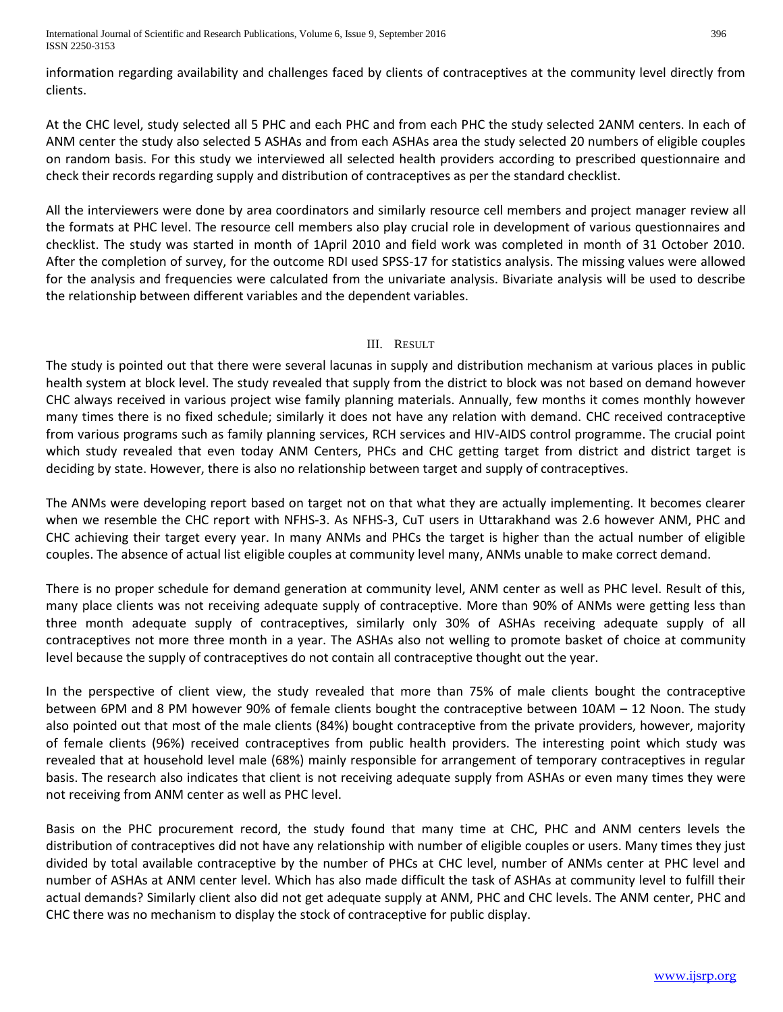International Journal of Scientific and Research Publications, Volume 6, Issue 9, September 2016 396 ISSN 2250-3153

information regarding availability and challenges faced by clients of contraceptives at the community level directly from clients.

At the CHC level, study selected all 5 PHC and each PHC and from each PHC the study selected 2ANM centers. In each of ANM center the study also selected 5 ASHAs and from each ASHAs area the study selected 20 numbers of eligible couples on random basis. For this study we interviewed all selected health providers according to prescribed questionnaire and check their records regarding supply and distribution of contraceptives as per the standard checklist.

All the interviewers were done by area coordinators and similarly resource cell members and project manager review all the formats at PHC level. The resource cell members also play crucial role in development of various questionnaires and checklist. The study was started in month of 1April 2010 and field work was completed in month of 31 October 2010. After the completion of survey, for the outcome RDI used SPSS-17 for statistics analysis. The missing values were allowed for the analysis and frequencies were calculated from the univariate analysis. Bivariate analysis will be used to describe the relationship between different variables and the dependent variables.

## III. RESULT

The study is pointed out that there were several lacunas in supply and distribution mechanism at various places in public health system at block level. The study revealed that supply from the district to block was not based on demand however CHC always received in various project wise family planning materials. Annually, few months it comes monthly however many times there is no fixed schedule; similarly it does not have any relation with demand. CHC received contraceptive from various programs such as family planning services, RCH services and HIV-AIDS control programme. The crucial point which study revealed that even today ANM Centers, PHCs and CHC getting target from district and district target is deciding by state. However, there is also no relationship between target and supply of contraceptives.

The ANMs were developing report based on target not on that what they are actually implementing. It becomes clearer when we resemble the CHC report with NFHS-3. As NFHS-3, CuT users in Uttarakhand was 2.6 however ANM, PHC and CHC achieving their target every year. In many ANMs and PHCs the target is higher than the actual number of eligible couples. The absence of actual list eligible couples at community level many, ANMs unable to make correct demand.

There is no proper schedule for demand generation at community level, ANM center as well as PHC level. Result of this, many place clients was not receiving adequate supply of contraceptive. More than 90% of ANMs were getting less than three month adequate supply of contraceptives, similarly only 30% of ASHAs receiving adequate supply of all contraceptives not more three month in a year. The ASHAs also not welling to promote basket of choice at community level because the supply of contraceptives do not contain all contraceptive thought out the year.

In the perspective of client view, the study revealed that more than 75% of male clients bought the contraceptive between 6PM and 8 PM however 90% of female clients bought the contraceptive between 10AM – 12 Noon. The study also pointed out that most of the male clients (84%) bought contraceptive from the private providers, however, majority of female clients (96%) received contraceptives from public health providers. The interesting point which study was revealed that at household level male (68%) mainly responsible for arrangement of temporary contraceptives in regular basis. The research also indicates that client is not receiving adequate supply from ASHAs or even many times they were not receiving from ANM center as well as PHC level.

Basis on the PHC procurement record, the study found that many time at CHC, PHC and ANM centers levels the distribution of contraceptives did not have any relationship with number of eligible couples or users. Many times they just divided by total available contraceptive by the number of PHCs at CHC level, number of ANMs center at PHC level and number of ASHAs at ANM center level. Which has also made difficult the task of ASHAs at community level to fulfill their actual demands? Similarly client also did not get adequate supply at ANM, PHC and CHC levels. The ANM center, PHC and CHC there was no mechanism to display the stock of contraceptive for public display.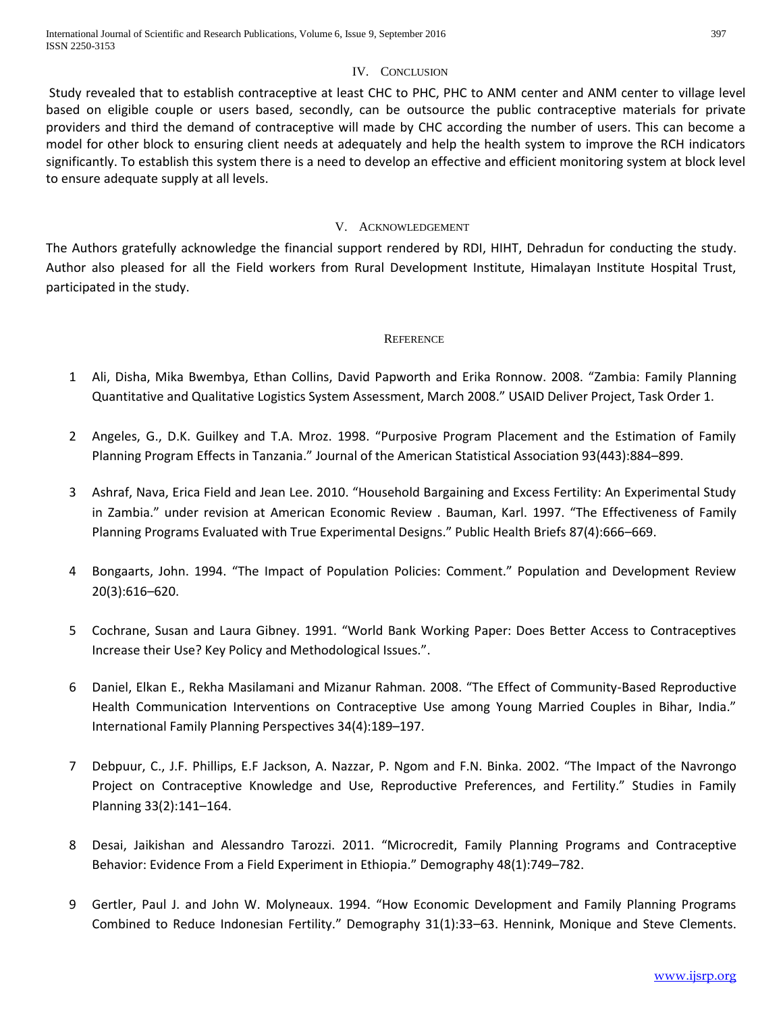# IV. CONCLUSION

Study revealed that to establish contraceptive at least CHC to PHC, PHC to ANM center and ANM center to village level based on eligible couple or users based, secondly, can be outsource the public contraceptive materials for private providers and third the demand of contraceptive will made by CHC according the number of users. This can become a model for other block to ensuring client needs at adequately and help the health system to improve the RCH indicators significantly. To establish this system there is a need to develop an effective and efficient monitoring system at block level to ensure adequate supply at all levels.

# V. ACKNOWLEDGEMENT

The Authors gratefully acknowledge the financial support rendered by RDI, HIHT, Dehradun for conducting the study. Author also pleased for all the Field workers from Rural Development Institute, Himalayan Institute Hospital Trust, participated in the study.

#### **REFERENCE**

- 1 Ali, Disha, Mika Bwembya, Ethan Collins, David Papworth and Erika Ronnow. 2008. "Zambia: Family Planning Quantitative and Qualitative Logistics System Assessment, March 2008." USAID Deliver Project, Task Order 1.
- 2 Angeles, G., D.K. Guilkey and T.A. Mroz. 1998. "Purposive Program Placement and the Estimation of Family Planning Program Effects in Tanzania." Journal of the American Statistical Association 93(443):884–899.
- 3 Ashraf, Nava, Erica Field and Jean Lee. 2010. "Household Bargaining and Excess Fertility: An Experimental Study in Zambia." under revision at American Economic Review . Bauman, Karl. 1997. "The Effectiveness of Family Planning Programs Evaluated with True Experimental Designs." Public Health Briefs 87(4):666–669.
- 4 Bongaarts, John. 1994. "The Impact of Population Policies: Comment." Population and Development Review 20(3):616–620.
- 5 Cochrane, Susan and Laura Gibney. 1991. "World Bank Working Paper: Does Better Access to Contraceptives Increase their Use? Key Policy and Methodological Issues.".
- 6 Daniel, Elkan E., Rekha Masilamani and Mizanur Rahman. 2008. "The Effect of Community-Based Reproductive Health Communication Interventions on Contraceptive Use among Young Married Couples in Bihar, India." International Family Planning Perspectives 34(4):189–197.
- 7 Debpuur, C., J.F. Phillips, E.F Jackson, A. Nazzar, P. Ngom and F.N. Binka. 2002. "The Impact of the Navrongo Project on Contraceptive Knowledge and Use, Reproductive Preferences, and Fertility." Studies in Family Planning 33(2):141–164.
- 8 Desai, Jaikishan and Alessandro Tarozzi. 2011. "Microcredit, Family Planning Programs and Contraceptive Behavior: Evidence From a Field Experiment in Ethiopia." Demography 48(1):749–782.
- 9 Gertler, Paul J. and John W. Molyneaux. 1994. "How Economic Development and Family Planning Programs Combined to Reduce Indonesian Fertility." Demography 31(1):33–63. Hennink, Monique and Steve Clements.